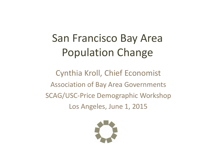### San Francisco Bay Area Population Change

Cynthia Kroll, Chief Economist Association of Bay Area Governments SCAG/USC‐Price Demographic Workshop Los Angeles, June 1, 2015

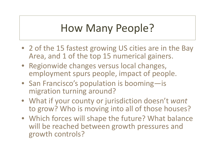### How Many People?

- 2 of the 15 fastest growing US cities are in the Bay Area, and 1 of the top 15 numerical gainers.
- Regionwide changes versus local changes, employment spurs people, impact of people.
- San Francisco's population is booming—is migration turning around?
- What if your county or jurisdiction doesn't *want* to grow? Who is moving into all of those houses?
- Which forces will shape the future? What balance will be reached between growth pressures and growth controls?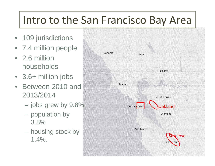## Intro to the San Francisco Bay Area

- 109 jurisdictions
- 7.4 million people
- 2.6 million households
- 3.6+ million jobs
- $\bullet$  Between 2010 and 2013/2014
	- jobs grew by 9.8%
	- population by 3.8%
	- $\mathcal{L}_{\mathcal{A}}$  housing stock by 1.4%.

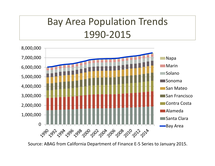### Bay Area Population Trends 1990‐2015



Source: ABAG from California Department of Finance E‐5 Series to January 2015.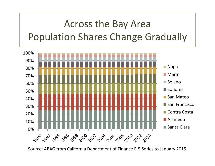### Across the Bay Area Population Shares Change Gradually



Source: ABAG from California Department of Finance E‐5 Series to January 2015.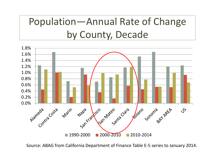### Population—Annual Rate of Change by County, Decade



Source: ABAG from California Department of Finance Table E‐5 series to January 2014.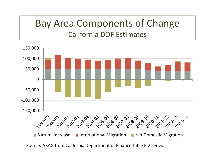#### Bay Area Components of Change California DOF Estimates



Source: ABAG from California Department of Finance Table E‐2 series.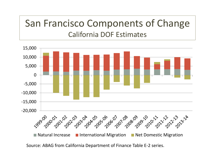### San Francisco Components of Change California DOF Estimates



Source: ABAG from California Department of Finance Table E‐2 series.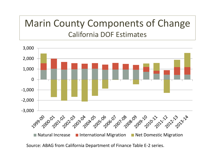#### Marin County Components of Change California DOF Estimates

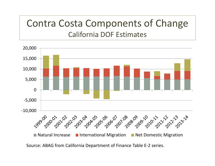#### Contra Costa Components of Change California DOF Estimates



Source: ABAG from California Department of Finance Table E‐2 series.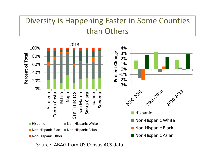#### Diversity is Happening Faster in Some Counties than Others



Source: ABAG from US Census ACS data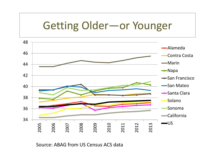### Getting Older—or Younger



#### Source: ABAG from US Census ACS data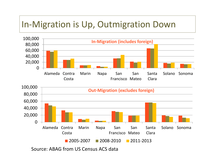#### In‐Migration is Up, Outmigration Down

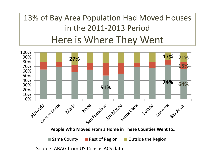#### 13% of Bay Area Population Had Moved Houses in the 2011‐2013 Period Here is Where They Went

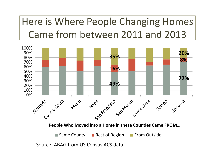Here is Where People Changing Homes Came from between 2011 and 2013



Source: ABAG from US Census ACS data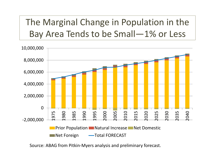The Marginal Change in Population in the Bay Area Tends to be Small—1% or Less



Source: ABAG from Pitkin‐Myers analysis and preliminary forecast.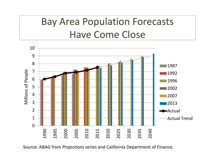### Bay Area Population Forecasts Have Come Close



Source: ABAG from *Projections* series and California Department of Finance.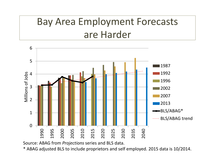### Bay Area Employment Forecasts are Harder



Source: ABAG from *Projections* series and BLS data.

\* ABAG adjusted BLS to include proprietors and self employed. 2015 data is 10/2014.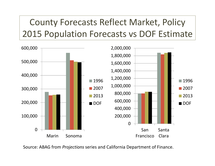County Forecasts Reflect Market, Policy 2015 Population Forecasts vs DOF Estimate



Source: ABAG from *Projections* series and California Department of Finance.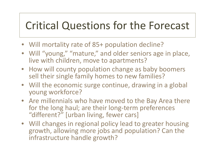### Critical Questions for the Forecast

- Will mortality rate of 85+ population decline?
- Will "young," "mature," and older seniors age in place, live with children, move to apartments?
- How will county population change as baby boomers sell their single family homes to new families?
- Will the economic surge continue, drawing in <sup>a</sup> global young workforce?
- Are millennials who have moved to the Bay Area there for the long haul; are their long‐term preferences "different?" [urban living, fewer cars]
- Will changes in regional policy lead to greater housing growth, allowing more jobs and population? Can the infrastructure handle growth?